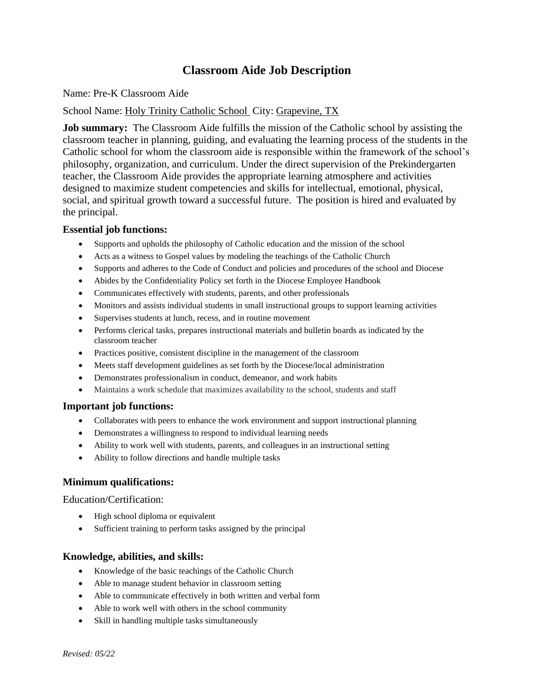# **Classroom Aide Job Description**

### Name: Pre-K Classroom Aide

## School Name: Holy Trinity Catholic School City: Grapevine, TX

**Job summary:** The Classroom Aide fulfills the mission of the Catholic school by assisting the classroom teacher in planning, guiding, and evaluating the learning process of the students in the Catholic school for whom the classroom aide is responsible within the framework of the school's philosophy, organization, and curriculum. Under the direct supervision of the Prekindergarten teacher, the Classroom Aide provides the appropriate learning atmosphere and activities designed to maximize student competencies and skills for intellectual, emotional, physical, social, and spiritual growth toward a successful future. The position is hired and evaluated by the principal.

### **Essential job functions:**

- Supports and upholds the philosophy of Catholic education and the mission of the school
- Acts as a witness to Gospel values by modeling the teachings of the Catholic Church
- Supports and adheres to the Code of Conduct and policies and procedures of the school and Diocese
- Abides by the Confidentiality Policy set forth in the Diocese Employee Handbook
- Communicates effectively with students, parents, and other professionals
- Monitors and assists individual students in small instructional groups to support learning activities
- Supervises students at lunch, recess, and in routine movement
- Performs clerical tasks, prepares instructional materials and bulletin boards as indicated by the classroom teacher
- Practices positive, consistent discipline in the management of the classroom
- Meets staff development guidelines as set forth by the Diocese/local administration
- Demonstrates professionalism in conduct, demeanor, and work habits
- Maintains a work schedule that maximizes availability to the school, students and staff

### **Important job functions:**

- Collaborates with peers to enhance the work environment and support instructional planning
- Demonstrates a willingness to respond to individual learning needs
- Ability to work well with students, parents, and colleagues in an instructional setting
- Ability to follow directions and handle multiple tasks

### **Minimum qualifications:**

Education/Certification:

- High school diploma or equivalent
- Sufficient training to perform tasks assigned by the principal

### **Knowledge, abilities, and skills:**

- Knowledge of the basic teachings of the Catholic Church
- Able to manage student behavior in classroom setting
- Able to communicate effectively in both written and verbal form
- Able to work well with others in the school community
- Skill in handling multiple tasks simultaneously